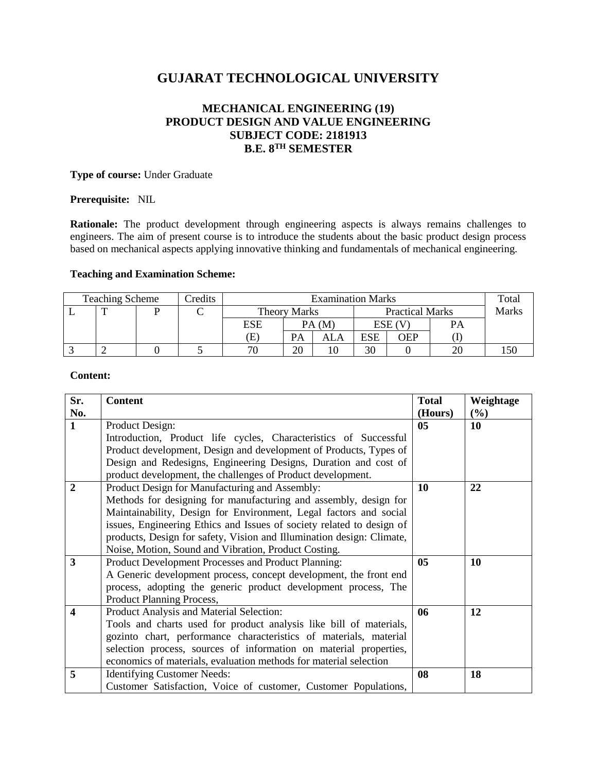# **GUJARAT TECHNOLOGICAL UNIVERSITY**

# **MECHANICAL ENGINEERING (19) PRODUCT DESIGN AND VALUE ENGINEERING SUBJECT CODE: 2181913 B.E. 8TH SEMESTER**

# **Type of course:** Under Graduate

# **Prerequisite:** NIL

**Rationale:** The product development through engineering aspects is always remains challenges to engineers. The aim of present course is to introduce the students about the basic product design process based on mechanical aspects applying innovative thinking and fundamentals of mechanical engineering.

# **Teaching and Examination Scheme:**

| Credits<br><b>Teaching Scheme</b> |   |  | <b>Examination Marks</b> |                            |       |                        |            | Total |              |  |
|-----------------------------------|---|--|--------------------------|----------------------------|-------|------------------------|------------|-------|--------------|--|
|                                   | ௱ |  |                          | <b>Theory Marks</b>        |       | <b>Practical Marks</b> |            |       | <b>Marks</b> |  |
|                                   |   |  |                          | <b>ESE</b>                 | PA(M) |                        | ESE (      |       | PΑ           |  |
|                                   |   |  |                          | $\left( \mathrm{E}\right)$ | PA    | ALA                    | <b>ESE</b> | OEP   |              |  |
|                                   |   |  |                          | 70                         | 20    |                        | 30         |       | 20           |  |

# **Content:**

| Sr.                     | <b>Content</b>                                                        | <b>Total</b>   | Weightage |
|-------------------------|-----------------------------------------------------------------------|----------------|-----------|
| No.                     |                                                                       | (Hours)        | $(\%)$    |
| $\mathbf{1}$            | Product Design:                                                       |                | 10        |
|                         | Introduction, Product life cycles, Characteristics of Successful      |                |           |
|                         | Product development, Design and development of Products, Types of     |                |           |
|                         | Design and Redesigns, Engineering Designs, Duration and cost of       |                |           |
|                         | product development, the challenges of Product development.           |                |           |
| $\overline{2}$          | Product Design for Manufacturing and Assembly:                        |                | 22        |
|                         | Methods for designing for manufacturing and assembly, design for      |                |           |
|                         | Maintainability, Design for Environment, Legal factors and social     |                |           |
|                         | issues, Engineering Ethics and Issues of society related to design of |                |           |
|                         | products, Design for safety, Vision and Illumination design: Climate, |                |           |
|                         | Noise, Motion, Sound and Vibration, Product Costing.                  |                |           |
| 3                       | Product Development Processes and Product Planning:                   | 0 <sub>5</sub> | 10        |
|                         | A Generic development process, concept development, the front end     |                |           |
|                         | process, adopting the generic product development process, The        |                |           |
|                         | Product Planning Process,                                             |                |           |
| $\overline{\mathbf{4}}$ | Product Analysis and Material Selection:                              | 06             | 12        |
|                         | Tools and charts used for product analysis like bill of materials,    |                |           |
|                         | gozinto chart, performance characteristics of materials, material     |                |           |
|                         | selection process, sources of information on material properties,     |                |           |
|                         | economics of materials, evaluation methods for material selection     |                |           |
| 5                       | <b>Identifying Customer Needs:</b>                                    | 08             | 18        |
|                         | Customer Satisfaction, Voice of customer, Customer Populations,       |                |           |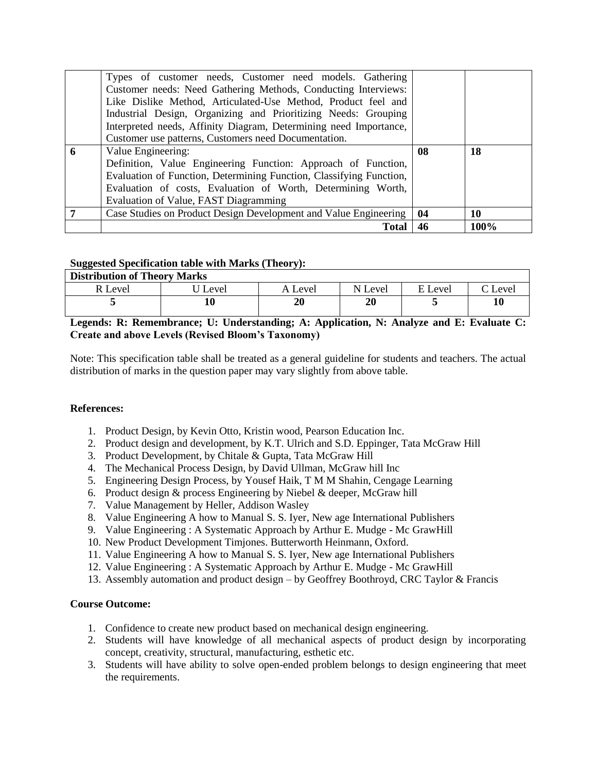|   | Types of customer needs, Customer need models. Gathering<br>Customer needs: Need Gathering Methods, Conducting Interviews:<br>Like Dislike Method, Articulated-Use Method, Product feel and<br>Industrial Design, Organizing and Prioritizing Needs: Grouping<br>Interpreted needs, Affinity Diagram, Determining need Importance, |    |      |
|---|------------------------------------------------------------------------------------------------------------------------------------------------------------------------------------------------------------------------------------------------------------------------------------------------------------------------------------|----|------|
|   | Customer use patterns, Customers need Documentation.                                                                                                                                                                                                                                                                               |    |      |
| 6 | Value Engineering:<br>Definition, Value Engineering Function: Approach of Function,<br>Evaluation of Function, Determining Function, Classifying Function,<br>Evaluation of costs, Evaluation of Worth, Determining Worth,<br>Evaluation of Value, FAST Diagramming                                                                | 08 | 18   |
|   | Case Studies on Product Design Development and Value Engineering                                                                                                                                                                                                                                                                   | 04 | 10   |
|   | <b>Total</b>                                                                                                                                                                                                                                                                                                                       | 46 | 100% |

# **Suggested Specification table with Marks (Theory):**

| <b>Distribution of Theory Marks</b> |       |         |         |         |       |  |  |  |
|-------------------------------------|-------|---------|---------|---------|-------|--|--|--|
| R Level                             | Level | A Level | N Level | E Level | Level |  |  |  |
|                                     | 10    |         | 20      |         | 10    |  |  |  |

# **Legends: R: Remembrance; U: Understanding; A: Application, N: Analyze and E: Evaluate C: Create and above Levels (Revised Bloom's Taxonomy)**

Note: This specification table shall be treated as a general guideline for students and teachers. The actual distribution of marks in the question paper may vary slightly from above table.

# **References:**

- 1. Product Design, by Kevin Otto, Kristin wood, Pearson Education Inc.
- 2. Product design and development, by K.T. Ulrich and S.D. Eppinger, Tata McGraw Hill
- 3. Product Development, by Chitale & Gupta, Tata McGraw Hill
- 4. The Mechanical Process Design, by David Ullman, McGraw hill Inc
- 5. Engineering Design Process, by Yousef Haik, T M M Shahin, Cengage Learning
- 6. Product design & process Engineering by Niebel & deeper, McGraw hill
- 7. Value Management by Heller, Addison Wasley
- 8. Value Engineering A how to Manual S. S. Iyer, New age International Publishers
- 9. Value Engineering : A Systematic Approach by Arthur E. Mudge Mc GrawHill
- 10. New Product Development Timjones. Butterworth Heinmann, Oxford.
- 11. Value Engineering A how to Manual S. S. Iyer, New age International Publishers
- 12. Value Engineering : A Systematic Approach by Arthur E. Mudge Mc GrawHill
- 13. Assembly automation and product design by Geoffrey Boothroyd, CRC Taylor & Francis

#### **Course Outcome:**

- 1. Confidence to create new product based on mechanical design engineering.
- 2. Students will have knowledge of all mechanical aspects of product design by incorporating concept, creativity, structural, manufacturing, esthetic etc.
- 3. Students will have ability to solve open-ended problem belongs to design engineering that meet the requirements.